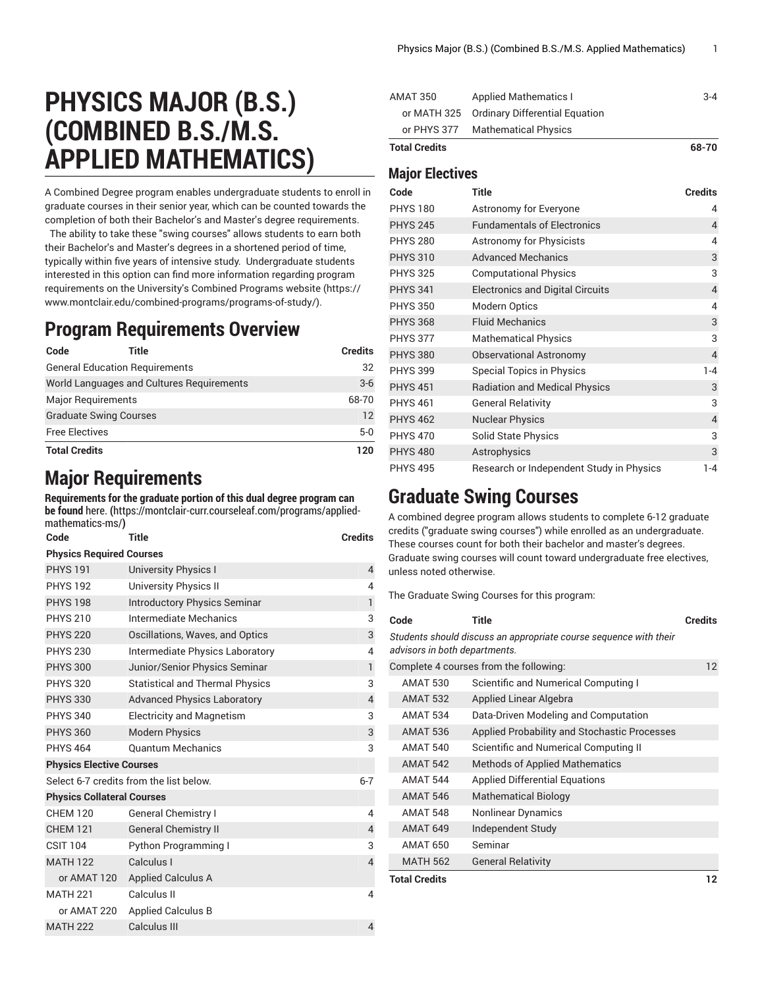# **PHYSICS MAJOR (B.S.) (COMBINED B.S./M.S. APPLIED MATHEMATICS)**

A Combined Degree program enables undergraduate students to enroll in graduate courses in their senior year, which can be counted towards the completion of both their Bachelor's and Master's degree requirements.

The ability to take these "swing courses" allows students to earn both their Bachelor's and Master's degrees in a shortened period of time, typically within five years of intensive study. Undergraduate students interested in this option can find more information regarding program requirements on the [University's](https://www.montclair.edu/combined-programs/programs-of-study/) Combined Programs website ([https://](https://www.montclair.edu/combined-programs/programs-of-study/) [www.montclair.edu/combined-programs/programs-of-study/](https://www.montclair.edu/combined-programs/programs-of-study/)).

#### **Program Requirements Overview**

| Code                          | Title                                     | <b>Credits</b> |
|-------------------------------|-------------------------------------------|----------------|
|                               | <b>General Education Requirements</b>     | 32             |
|                               | World Languages and Cultures Requirements | $3-6$          |
| <b>Major Requirements</b>     |                                           | 68-70          |
| <b>Graduate Swing Courses</b> |                                           | 12             |
| <b>Free Electives</b>         |                                           | $5-0$          |
| <b>Total Credits</b>          |                                           | 120            |

### **Major Requirements**

**Requirements for the graduate portion of this dual degree program can be found** [here.](https://montclair-curr.courseleaf.com/programs/applied-mathematics-ms/) **(**[https://montclair-curr.courseleaf.com/programs/applied](https://montclair-curr.courseleaf.com/programs/applied-mathematics-ms/)[mathematics-ms/](https://montclair-curr.courseleaf.com/programs/applied-mathematics-ms/)**)**

| Code                              | Title                                   | <b>Credits</b> |  |  |
|-----------------------------------|-----------------------------------------|----------------|--|--|
| <b>Physics Required Courses</b>   |                                         |                |  |  |
| <b>PHYS 191</b>                   | <b>University Physics I</b>             | 4              |  |  |
| <b>PHYS 192</b>                   | University Physics II                   | 4              |  |  |
| <b>PHYS 198</b>                   | <b>Introductory Physics Seminar</b>     | $\mathbf{1}$   |  |  |
| <b>PHYS 210</b>                   | Intermediate Mechanics                  | 3              |  |  |
| <b>PHYS 220</b>                   | Oscillations, Waves, and Optics         | 3              |  |  |
| <b>PHYS 230</b>                   | Intermediate Physics Laboratory         | 4              |  |  |
| <b>PHYS 300</b>                   | Junior/Senior Physics Seminar           | $\mathbf{1}$   |  |  |
| <b>PHYS 320</b>                   | <b>Statistical and Thermal Physics</b>  | 3              |  |  |
| <b>PHYS 330</b>                   | <b>Advanced Physics Laboratory</b>      | $\overline{4}$ |  |  |
| <b>PHYS 340</b>                   | <b>Electricity and Magnetism</b>        | 3              |  |  |
| <b>PHYS 360</b>                   | <b>Modern Physics</b>                   | 3              |  |  |
| <b>PHYS 464</b>                   | <b>Ouantum Mechanics</b>                | 3              |  |  |
| <b>Physics Elective Courses</b>   |                                         |                |  |  |
|                                   | Select 6-7 credits from the list below. | $6 - 7$        |  |  |
| <b>Physics Collateral Courses</b> |                                         |                |  |  |
| <b>CHFM 120</b>                   | <b>General Chemistry I</b>              | 4              |  |  |
| <b>CHEM 121</b>                   | <b>General Chemistry II</b>             | $\overline{4}$ |  |  |
| <b>CSIT 104</b>                   | <b>Python Programming I</b>             | 3              |  |  |
| <b>MATH 122</b>                   | Calculus I                              | 4              |  |  |
| or AMAT 120                       | <b>Applied Calculus A</b>               |                |  |  |
| <b>MATH 221</b>                   | Calculus II                             | 4              |  |  |
| or AMAT 220                       | <b>Applied Calculus B</b>               |                |  |  |
| <b>MATH 222</b>                   | Calculus III                            | 4              |  |  |

| Meier Fleetiyee      |                                            |         |
|----------------------|--------------------------------------------|---------|
| <b>Total Credits</b> |                                            | 68-70   |
|                      | or PHYS 377 Mathematical Physics           |         |
|                      | or MATH 325 Ordinary Differential Equation |         |
| AMAT 350             | <b>Applied Mathematics I</b>               | $3 - 4$ |
|                      |                                            |         |

#### **Major Electives**

| Code            | <b>Title</b>                             | <b>Credits</b> |
|-----------------|------------------------------------------|----------------|
| <b>PHYS 180</b> | Astronomy for Everyone                   | 4              |
| <b>PHYS 245</b> | <b>Fundamentals of Electronics</b>       | $\overline{4}$ |
| <b>PHYS 280</b> | Astronomy for Physicists                 | 4              |
| <b>PHYS 310</b> | <b>Advanced Mechanics</b>                | 3              |
| <b>PHYS 325</b> | <b>Computational Physics</b>             | 3              |
| <b>PHYS 341</b> | <b>Electronics and Digital Circuits</b>  | $\overline{4}$ |
| <b>PHYS 350</b> | <b>Modern Optics</b>                     | 4              |
| <b>PHYS 368</b> | <b>Fluid Mechanics</b>                   | $\sqrt{3}$     |
| <b>PHYS 377</b> | <b>Mathematical Physics</b>              | 3              |
| <b>PHYS 380</b> | <b>Observational Astronomy</b>           | $\overline{4}$ |
| <b>PHYS 399</b> | <b>Special Topics in Physics</b>         | 1-4            |
| <b>PHYS 451</b> | <b>Radiation and Medical Physics</b>     | 3              |
| <b>PHYS 461</b> | <b>General Relativity</b>                | 3              |
| <b>PHYS 462</b> | <b>Nuclear Physics</b>                   | $\overline{4}$ |
| <b>PHYS 470</b> | <b>Solid State Physics</b>               | 3              |
| <b>PHYS 480</b> | Astrophysics                             | 3              |
| <b>PHYS 495</b> | Research or Independent Study in Physics | 1-4            |

#### **Graduate Swing Courses**

A combined degree program allows students to complete 6-12 graduate credits ("graduate swing courses") while enrolled as an undergraduate. These courses count for both their bachelor and master's degrees. Graduate swing courses will count toward undergraduate free electives, unless noted otherwise.

The Graduate Swing Courses for this program:

| Code                          | Title                                                             | <b>Credits</b> |
|-------------------------------|-------------------------------------------------------------------|----------------|
| advisors in both departments. | Students should discuss an appropriate course sequence with their |                |
|                               | Complete 4 courses from the following:                            | 12             |
| <b>AMAT 530</b>               | Scientific and Numerical Computing I                              |                |
| <b>AMAT 532</b>               | Applied Linear Algebra                                            |                |
| <b>AMAT 534</b>               | Data-Driven Modeling and Computation                              |                |
| <b>AMAT 536</b>               | Applied Probability and Stochastic Processes                      |                |
| <b>AMAT 540</b>               | Scientific and Numerical Computing II                             |                |
| <b>AMAT 542</b>               | <b>Methods of Applied Mathematics</b>                             |                |
| <b>AMAT 544</b>               | <b>Applied Differential Equations</b>                             |                |
| <b>AMAT 546</b>               | <b>Mathematical Biology</b>                                       |                |
| <b>AMAT 548</b>               | Nonlinear Dynamics                                                |                |
| <b>AMAT 649</b>               | Independent Study                                                 |                |
| <b>AMAT 650</b>               | Seminar                                                           |                |
| <b>MATH 562</b>               | <b>General Relativity</b>                                         |                |
| <b>Total Credits</b>          |                                                                   | 12             |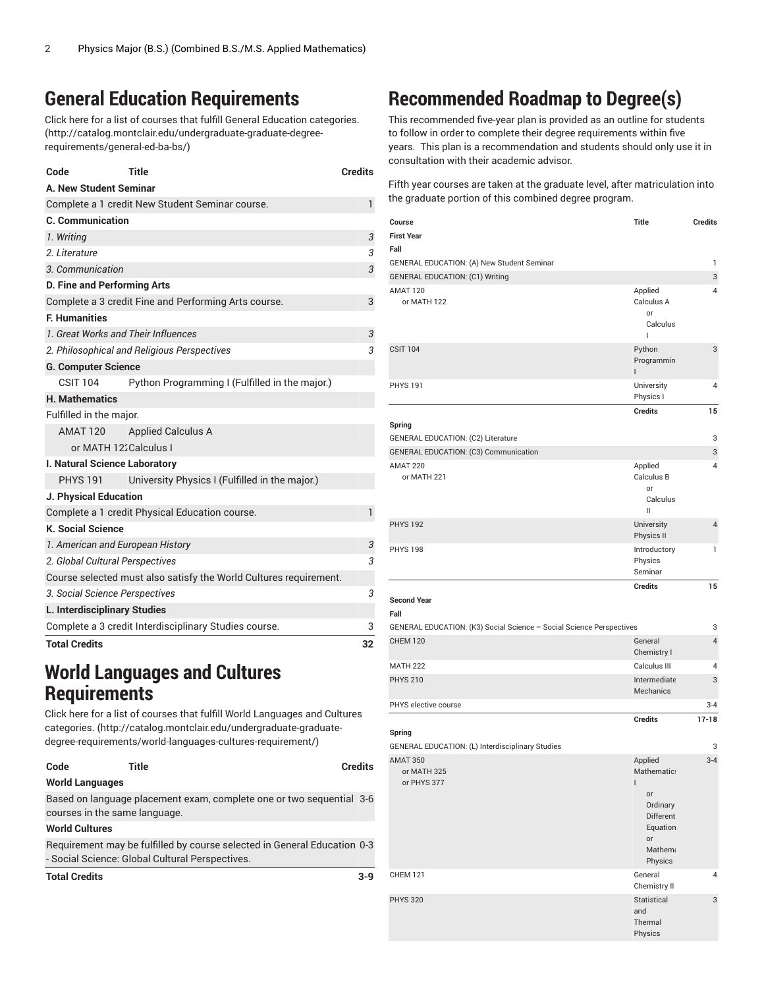## **General Education Requirements**

Click here for a list of courses that fulfill General Education [categories.](http://catalog.montclair.edu/undergraduate-graduate-degree-requirements/general-ed-ba-bs/) ([http://catalog.montclair.edu/undergraduate-graduate-degree](http://catalog.montclair.edu/undergraduate-graduate-degree-requirements/general-ed-ba-bs/)[requirements/general-ed-ba-bs/\)](http://catalog.montclair.edu/undergraduate-graduate-degree-requirements/general-ed-ba-bs/)

| Code                                | Title                                                             | <b>Credits</b> |
|-------------------------------------|-------------------------------------------------------------------|----------------|
| A. New Student Seminar              |                                                                   |                |
|                                     | Complete a 1 credit New Student Seminar course.                   | 1              |
| <b>C. Communication</b>             |                                                                   |                |
| 1. Writing                          |                                                                   | 3              |
| 2. Literature                       |                                                                   | 3              |
| 3. Communication                    |                                                                   | 3              |
| D. Fine and Performing Arts         |                                                                   |                |
|                                     | Complete a 3 credit Fine and Performing Arts course.              | 3              |
| <b>F. Humanities</b>                |                                                                   |                |
| 1. Great Works and Their Influences |                                                                   | 3              |
|                                     | 2. Philosophical and Religious Perspectives                       | 3              |
| <b>G. Computer Science</b>          |                                                                   |                |
| <b>CSIT 104</b>                     | Python Programming I (Fulfilled in the major.)                    |                |
| <b>H. Mathematics</b>               |                                                                   |                |
| Fulfilled in the major.             |                                                                   |                |
| <b>AMAT 120</b>                     | <b>Applied Calculus A</b>                                         |                |
| or MATH 122Calculus I               |                                                                   |                |
| I. Natural Science Laboratory       |                                                                   |                |
| <b>PHYS 191</b>                     | University Physics I (Fulfilled in the major.)                    |                |
| J. Physical Education               |                                                                   |                |
|                                     | Complete a 1 credit Physical Education course.                    | 1              |
| <b>K. Social Science</b>            |                                                                   |                |
| 1. American and European History    |                                                                   | 3              |
| 2. Global Cultural Perspectives     |                                                                   | 3              |
|                                     | Course selected must also satisfy the World Cultures requirement. |                |
| 3. Social Science Perspectives      |                                                                   | 3              |
| L. Interdisciplinary Studies        |                                                                   |                |
|                                     | Complete a 3 credit Interdisciplinary Studies course.             | 3              |
| <b>Total Credits</b>                |                                                                   | 32             |

### **World Languages and Cultures Requirements**

Click here for a list of courses that fulfill World [Languages](http://catalog.montclair.edu/undergraduate-graduate-degree-requirements/world-languages-cultures-requirement/) and Cultures [categories.](http://catalog.montclair.edu/undergraduate-graduate-degree-requirements/world-languages-cultures-requirement/) ([http://catalog.montclair.edu/undergraduate-graduate](http://catalog.montclair.edu/undergraduate-graduate-degree-requirements/world-languages-cultures-requirement/)[degree-requirements/world-languages-cultures-requirement/](http://catalog.montclair.edu/undergraduate-graduate-degree-requirements/world-languages-cultures-requirement/))

| Code                          | Title                                                                                                                       | <b>Credits</b> |
|-------------------------------|-----------------------------------------------------------------------------------------------------------------------------|----------------|
| <b>World Languages</b>        |                                                                                                                             |                |
| courses in the same language. | Based on language placement exam, complete one or two sequential 3-6                                                        |                |
| <b>World Cultures</b>         |                                                                                                                             |                |
|                               | Requirement may be fulfilled by course selected in General Education 0-3<br>- Social Science: Global Cultural Perspectives. |                |
| <b>Total Credits</b>          |                                                                                                                             | $3-9$          |

# **Recommended Roadmap to Degree(s)**

This recommended five-year plan is provided as an outline for students to follow in order to complete their degree requirements within five years. This plan is a recommendation and students should only use it in consultation with their academic advisor.

Fifth year courses are taken at the graduate level, after matriculation into the graduate portion of this combined degree program.

| Course<br><b>First Year</b><br>Fall                                  | <b>Title</b>                                                                                                     | <b>Credits</b> |
|----------------------------------------------------------------------|------------------------------------------------------------------------------------------------------------------|----------------|
| GENERAL EDUCATION: (A) New Student Seminar                           |                                                                                                                  | $\mathbf{1}$   |
| <b>GENERAL EDUCATION: (C1) Writing</b>                               |                                                                                                                  | 3              |
| AMAT 120<br>or MATH 122                                              | Applied<br>Calculus A<br><b>or</b><br>Calculus<br>T                                                              | 4              |
| <b>CSIT 104</b>                                                      | Python<br>Programmin<br>L                                                                                        | 3              |
| <b>PHYS 191</b>                                                      | University<br>Physics I                                                                                          | 4              |
| Spring                                                               | <b>Credits</b>                                                                                                   | 15             |
| GENERAL EDUCATION: (C2) Literature                                   |                                                                                                                  | 3              |
| GENERAL EDUCATION: (C3) Communication                                |                                                                                                                  | 3              |
| AMAT 220<br>or MATH 221                                              | Applied<br>Calculus B<br>or<br>Calculus<br>Ш                                                                     | $\overline{4}$ |
| <b>PHYS 192</b>                                                      | <b>University</b><br>Physics II                                                                                  | $\overline{4}$ |
| <b>PHYS 198</b>                                                      | Introductory<br>Physics<br>Seminar                                                                               | 1              |
| <b>Second Year</b><br>Fall                                           | <b>Credits</b>                                                                                                   | 15             |
| GENERAL EDUCATION: (K3) Social Science - Social Science Perspectives |                                                                                                                  | 3              |
| <b>CHEM 120</b>                                                      | General<br>Chemistry I                                                                                           | $\overline{4}$ |
| <b>MATH 222</b>                                                      | Calculus III                                                                                                     | 4              |
| <b>PHYS 210</b>                                                      | Intermediate<br>Mechanics                                                                                        | 3              |
| PHYS elective course                                                 |                                                                                                                  | $3 - 4$        |
| Spring                                                               | <b>Credits</b>                                                                                                   | $17 - 18$      |
| GENERAL EDUCATION: (L) Interdisciplinary Studies                     |                                                                                                                  | 3              |
| <b>AMAT 350</b><br>or MATH 325<br>or PHYS 377                        | Applied<br>Mathematic:<br>L<br>or<br>Ordinary<br><b>Different</b><br>Equation<br>or<br><b>Mathem:</b><br>Physics | $3 - 4$        |
| <b>CHEM 121</b>                                                      | General<br>Chemistry II                                                                                          | 4              |
| <b>PHYS 320</b>                                                      | Statistical<br>and<br>Thermal<br>Physics                                                                         | 3              |